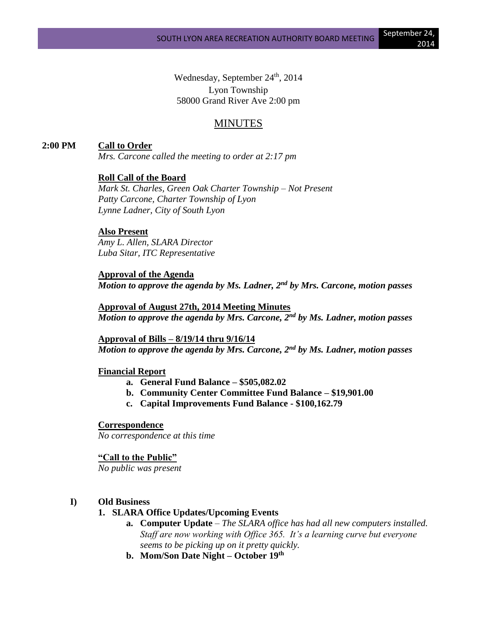Wednesday, September 24<sup>th</sup>, 2014 Lyon Township 58000 Grand River Ave 2:00 pm

# MINUTES

# **2:00 PM Call to Order**

*Mrs. Carcone called the meeting to order at 2:17 pm*

# **Roll Call of the Board**

*Mark St. Charles, Green Oak Charter Township – Not Present Patty Carcone, Charter Township of Lyon Lynne Ladner, City of South Lyon*

# **Also Present**

*Amy L. Allen, SLARA Director Luba Sitar, ITC Representative*

**Approval of the Agenda** *Motion to approve the agenda by Ms. Ladner, 2nd by Mrs. Carcone, motion passes*

**Approval of August 27th, 2014 Meeting Minutes** *Motion to approve the agenda by Mrs. Carcone, 2nd by Ms. Ladner, motion passes*

**Approval of Bills – 8/19/14 thru 9/16/14** *Motion to approve the agenda by Mrs. Carcone, 2nd by Ms. Ladner, motion passes*

#### **Financial Report**

- **a. General Fund Balance – \$505,082.02**
- **b. Community Center Committee Fund Balance – \$19,901.00**
- **c. Capital Improvements Fund Balance - \$100,162.79**

#### **Correspondence**

*No correspondence at this time*

#### **"Call to the Public"**

*No public was present*

## **I) Old Business**

## **1. SLARA Office Updates/Upcoming Events**

- **a. Computer Update** *– The SLARA office has had all new computers installed. Staff are now working with Office 365. It's a learning curve but everyone seems to be picking up on it pretty quickly.*
- **b. Mom/Son Date Night – October 19th**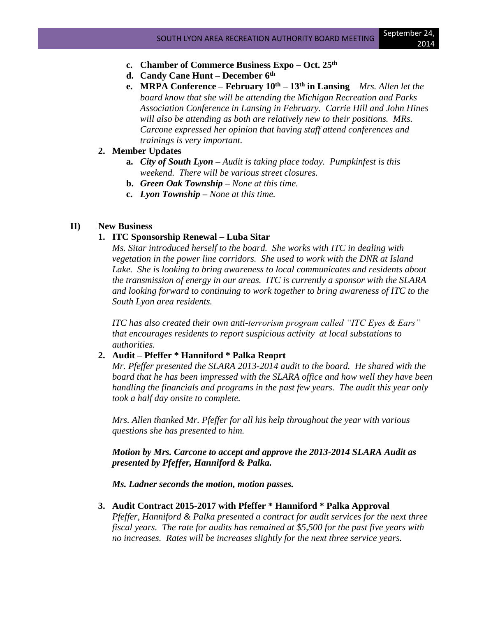- **c. Chamber of Commerce Business Expo – Oct. 25th**
- **d. Candy Cane Hunt – December 6th**
- **e. MRPA Conference – February 10th – 13th in Lansing** *– Mrs. Allen let the board know that she will be attending the Michigan Recreation and Parks Association Conference in Lansing in February. Carrie Hill and John Hines will also be attending as both are relatively new to their positions. MRs. Carcone expressed her opinion that having staff attend conferences and trainings is very important.*

## **2. Member Updates**

- **a.** *City of South Lyon – Audit is taking place today. Pumpkinfest is this weekend. There will be various street closures.*
- **b.** *Green Oak Township – None at this time.*
- **c.** *Lyon Township – None at this time.*

## **II) New Business**

## **1. ITC Sponsorship Renewal – Luba Sitar**

*Ms. Sitar introduced herself to the board. She works with ITC in dealing with vegetation in the power line corridors. She used to work with the DNR at Island*  Lake. She is looking to bring awareness to local communicates and residents about *the transmission of energy in our areas. ITC is currently a sponsor with the SLARA and looking forward to continuing to work together to bring awareness of ITC to the South Lyon area residents.* 

*ITC has also created their own anti-terrorism program called "ITC Eyes & Ears" that encourages residents to report suspicious activity at local substations to authorities.*

#### **2. Audit – Pfeffer \* Hanniford \* Palka Reoprt**

*Mr. Pfeffer presented the SLARA 2013-2014 audit to the board. He shared with the board that he has been impressed with the SLARA office and how well they have been handling the financials and programs in the past few years. The audit this year only took a half day onsite to complete.* 

*Mrs. Allen thanked Mr. Pfeffer for all his help throughout the year with various questions she has presented to him.* 

*Motion by Mrs. Carcone to accept and approve the 2013-2014 SLARA Audit as presented by Pfeffer, Hanniford & Palka.* 

*Ms. Ladner seconds the motion, motion passes.*

#### **3. Audit Contract 2015-2017 with Pfeffer \* Hanniford \* Palka Approval**

*Pfeffer, Hanniford & Palka presented a contract for audit services for the next three fiscal years. The rate for audits has remained at \$5,500 for the past five years with no increases. Rates will be increases slightly for the next three service years.*